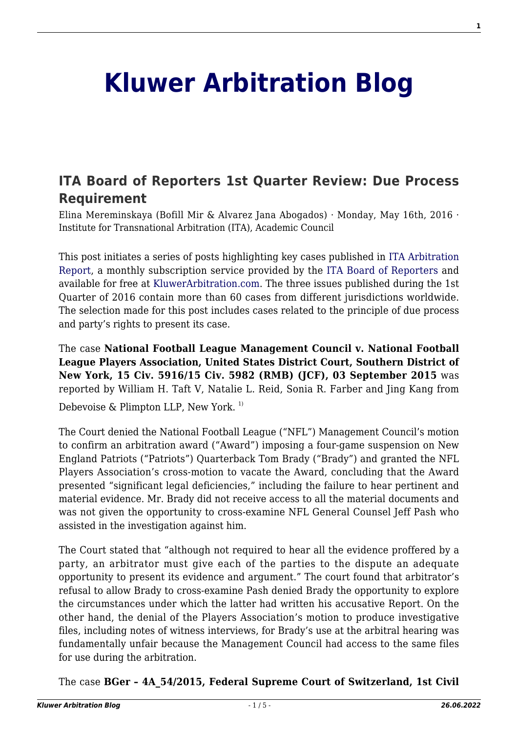# **[Kluwer Arbitration Blog](http://arbitrationblog.kluwerarbitration.com/)**

## **[ITA Board of Reporters 1st Quarter Review: Due Process](http://arbitrationblog.kluwerarbitration.com/2016/05/16/ita-board-reporters-1st-quarter-review-due-process-requirement/) [Requirement](http://arbitrationblog.kluwerarbitration.com/2016/05/16/ita-board-reporters-1st-quarter-review-due-process-requirement/)**

Elina Mereminskaya (Bofill Mir & Alvarez Jana Abogados) · Monday, May 16th, 2016 · Institute for Transnational Arbitration (ITA), Academic Council

This post initiates a series of posts highlighting key cases published in [ITA Arbitration](http://www.cailaw.org/Institute-for-Transnational-Arbitration/publications/ITA-Arbitration-Report/index.html) [Report,](http://www.cailaw.org/Institute-for-Transnational-Arbitration/publications/ITA-Arbitration-Report/index.html) a monthly subscription service provided by the [ITA Board of Reporters](http://www.cailaw.org/Institute-for-Transnational-Arbitration/publications/ITA-Arbitration-Report/board-of-reporters.html) and available for free at [KluwerArbitration.com](http://www.kluwerarbitration.com/). The three issues published during the 1st Quarter of 2016 contain more than 60 cases from different jurisdictions worldwide. The selection made for this post includes cases related to the principle of due process and party's rights to present its case.

The case **National Football League Management Council v. National Football League Players Association, United States District Court, Southern District of New York, 15 Civ. 5916/15 Civ. 5982 (RMB) (JCF), 03 September 2015** was reported by William H. Taft V, Natalie L. Reid, Sonia R. Farber and Jing Kang from Debevoise  $\&$  Plimpton LLP, New York.<sup>1)</sup>

The Court denied the National Football League ("NFL") Management Council's motion to confirm an arbitration award ("Award") imposing a four-game suspension on New England Patriots ("Patriots") Quarterback Tom Brady ("Brady") and granted the NFL Players Association's cross-motion to vacate the Award, concluding that the Award presented "significant legal deficiencies," including the failure to hear pertinent and material evidence. Mr. Brady did not receive access to all the material documents and was not given the opportunity to cross-examine NFL General Counsel Jeff Pash who assisted in the investigation against him.

The Court stated that "although not required to hear all the evidence proffered by a party, an arbitrator must give each of the parties to the dispute an adequate opportunity to present its evidence and argument." The court found that arbitrator's refusal to allow Brady to cross-examine Pash denied Brady the opportunity to explore the circumstances under which the latter had written his accusative Report. On the other hand, the denial of the Players Association's motion to produce investigative files, including notes of witness interviews, for Brady's use at the arbitral hearing was fundamentally unfair because the Management Council had access to the same files for use during the arbitration.

The case **BGer – 4A\_54/2015, Federal Supreme Court of Switzerland, 1st Civil**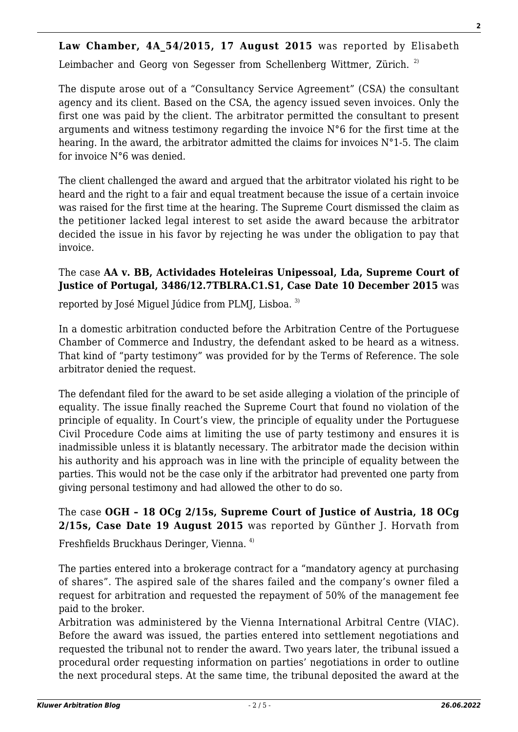Law Chamber, 4A 54/2015, 17 August 2015 was reported by Elisabeth

Leimbacher and Georg von Segesser from Schellenberg Wittmer, Zürich.<sup>2)</sup>

The dispute arose out of a "Consultancy Service Agreement" (CSA) the consultant agency and its client. Based on the CSA, the agency issued seven invoices. Only the first one was paid by the client. The arbitrator permitted the consultant to present arguments and witness testimony regarding the invoice N°6 for the first time at the hearing. In the award, the arbitrator admitted the claims for invoices N°1-5. The claim for invoice N°6 was denied.

The client challenged the award and argued that the arbitrator violated his right to be heard and the right to a fair and equal treatment because the issue of a certain invoice was raised for the first time at the hearing. The Supreme Court dismissed the claim as the petitioner lacked legal interest to set aside the award because the arbitrator decided the issue in his favor by rejecting he was under the obligation to pay that invoice.

#### The case **AA v. BB, Actividades Hoteleiras Unipessoal, Lda, Supreme Court of Justice of Portugal, 3486/12.7TBLRA.C1.S1, Case Date 10 December 2015** was

reported by José Miquel Júdice from PLMJ, Lisboa.<sup>3)</sup>

In a domestic arbitration conducted before the Arbitration Centre of the Portuguese Chamber of Commerce and Industry, the defendant asked to be heard as a witness. That kind of "party testimony" was provided for by the Terms of Reference. The sole arbitrator denied the request.

The defendant filed for the award to be set aside alleging a violation of the principle of equality. The issue finally reached the Supreme Court that found no violation of the principle of equality. In Court's view, the principle of equality under the Portuguese Civil Procedure Code aims at limiting the use of party testimony and ensures it is inadmissible unless it is blatantly necessary. The arbitrator made the decision within his authority and his approach was in line with the principle of equality between the parties. This would not be the case only if the arbitrator had prevented one party from giving personal testimony and had allowed the other to do so.

The case **OGH – 18 OCg 2/15s, Supreme Court of Justice of Austria, 18 OCg 2/15s, Case Date 19 August 2015** was reported by Günther J. Horvath from

Freshfields Bruckhaus Deringer, Vienna. 4)

The parties entered into a brokerage contract for a "mandatory agency at purchasing of shares". The aspired sale of the shares failed and the company's owner filed a request for arbitration and requested the repayment of 50% of the management fee paid to the broker.

Arbitration was administered by the Vienna International Arbitral Centre (VIAC). Before the award was issued, the parties entered into settlement negotiations and requested the tribunal not to render the award. Two years later, the tribunal issued a procedural order requesting information on parties' negotiations in order to outline the next procedural steps. At the same time, the tribunal deposited the award at the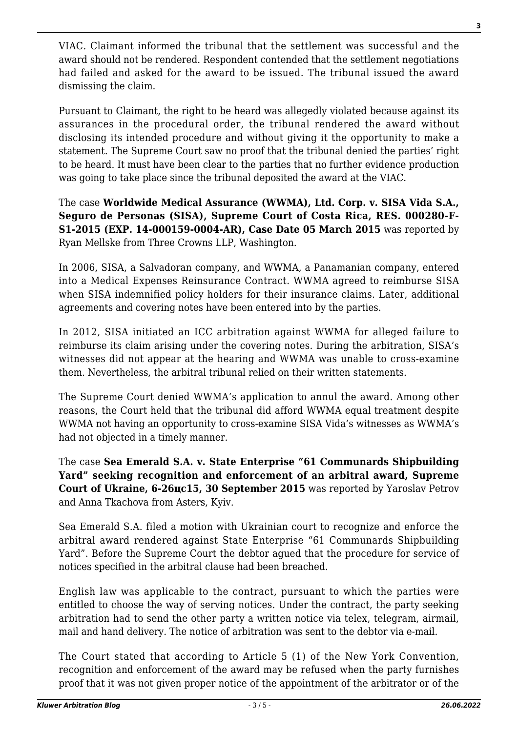VIAC. Claimant informed the tribunal that the settlement was successful and the award should not be rendered. Respondent contended that the settlement negotiations had failed and asked for the award to be issued. The tribunal issued the award dismissing the claim.

Pursuant to Claimant, the right to be heard was allegedly violated because against its assurances in the procedural order, the tribunal rendered the award without disclosing its intended procedure and without giving it the opportunity to make a statement. The Supreme Court saw no proof that the tribunal denied the parties' right to be heard. It must have been clear to the parties that no further evidence production was going to take place since the tribunal deposited the award at the VIAC.

The case **Worldwide Medical Assurance (WWMA), Ltd. Corp. v. SISA Vida S.A., Seguro de Personas (SISA), Supreme Court of Costa Rica, RES. 000280-F-S1-2015 (EXP. 14-000159-0004-AR), Case Date 05 March 2015** was reported by Ryan Mellske from Three Crowns LLP, Washington.

In 2006, SISA, a Salvadoran company, and WWMA, a Panamanian company, entered into a Medical Expenses Reinsurance Contract. WWMA agreed to reimburse SISA when SISA indemnified policy holders for their insurance claims. Later, additional agreements and covering notes have been entered into by the parties.

In 2012, SISA initiated an ICC arbitration against WWMA for alleged failure to reimburse its claim arising under the covering notes. During the arbitration, SISA's witnesses did not appear at the hearing and WWMA was unable to cross-examine them. Nevertheless, the arbitral tribunal relied on their written statements.

The Supreme Court denied WWMA's application to annul the award. Among other reasons, the Court held that the tribunal did afford WWMA equal treatment despite WWMA not having an opportunity to cross-examine SISA Vida's witnesses as WWMA's had not objected in a timely manner.

The case **Sea Emerald S.A. v. State Enterprise "61 Communards Shipbuilding Yard" seeking recognition and enforcement of an arbitral award, Supreme Court of Ukraine, 6-26цс15, 30 September 2015** was reported by Yaroslav Petrov and Anna Tkachova from Asters, Kyiv.

Sea Emerald S.A. filed a motion with Ukrainian court to recognize and enforce the arbitral award rendered against State Enterprise "61 Communards Shipbuilding Yard". Before the Supreme Court the debtor agued that the procedure for service of notices specified in the arbitral clause had been breached.

English law was applicable to the contract, pursuant to which the parties were entitled to choose the way of serving notices. Under the contract, the party seeking arbitration had to send the other party a written notice via telex, telegram, airmail, mail and hand delivery. The notice of arbitration was sent to the debtor via e-mail.

The Court stated that according to Article 5 (1) of the New York Convention, recognition and enforcement of the award may be refused when the party furnishes proof that it was not given proper notice of the appointment of the arbitrator or of the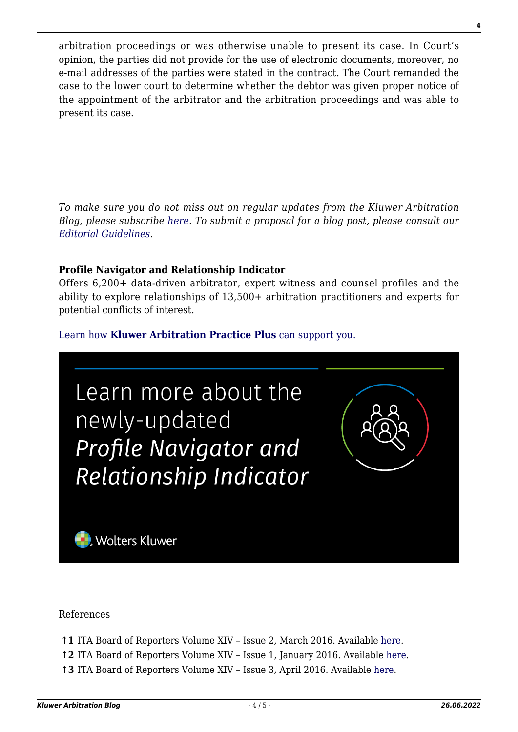arbitration proceedings or was otherwise unable to present its case. In Court's opinion, the parties did not provide for the use of electronic documents, moreover, no e-mail addresses of the parties were stated in the contract. The Court remanded the case to the lower court to determine whether the debtor was given proper notice of the appointment of the arbitrator and the arbitration proceedings and was able to present its case.

*To make sure you do not miss out on regular updates from the Kluwer Arbitration Blog, please subscribe [here](http://arbitrationblog.kluwerarbitration.com/newsletter/). To submit a proposal for a blog post, please consult our [Editorial Guidelines.](http://arbitrationblog.kluwerarbitration.com/editorial-guidelines/)*

#### **Profile Navigator and Relationship Indicator**

Offers 6,200+ data-driven arbitrator, expert witness and counsel profiles and the ability to explore relationships of 13,500+ arbitration practitioners and experts for potential conflicts of interest.

### [Learn how](https://www.wolterskluwer.com/en/solutions/kluwerarbitration/practiceplus?utm_source=arbitrationblog&utm_medium=articleCTA&utm_campaign=article-banner) **[Kluwer Arbitration Practice Plus](https://www.wolterskluwer.com/en/solutions/kluwerarbitration/practiceplus?utm_source=arbitrationblog&utm_medium=articleCTA&utm_campaign=article-banner)** [can support you.](https://www.wolterskluwer.com/en/solutions/kluwerarbitration/practiceplus?utm_source=arbitrationblog&utm_medium=articleCTA&utm_campaign=article-banner)



References

- **↑1** ITA Board of Reporters Volume XIV Issue 2, March 2016. Available [here.](http://www.kluwerarbitration.com/CommonUI/document.aspx?id=kli-ka-16-4-001)
- **↑2** ITA Board of Reporters Volume XIV Issue 1, January 2016. Available [here](http://www.kluwerarbitration.com/CommonUI/document.aspx?id=kli-ka-15-52-001).
- **↑3** ITA Board of Reporters Volume XIV Issue 3, April 2016. Available [here.](http://www.kluwerarbitration.com/CommonUI/document.aspx?id=kli-ka-16-10-002)